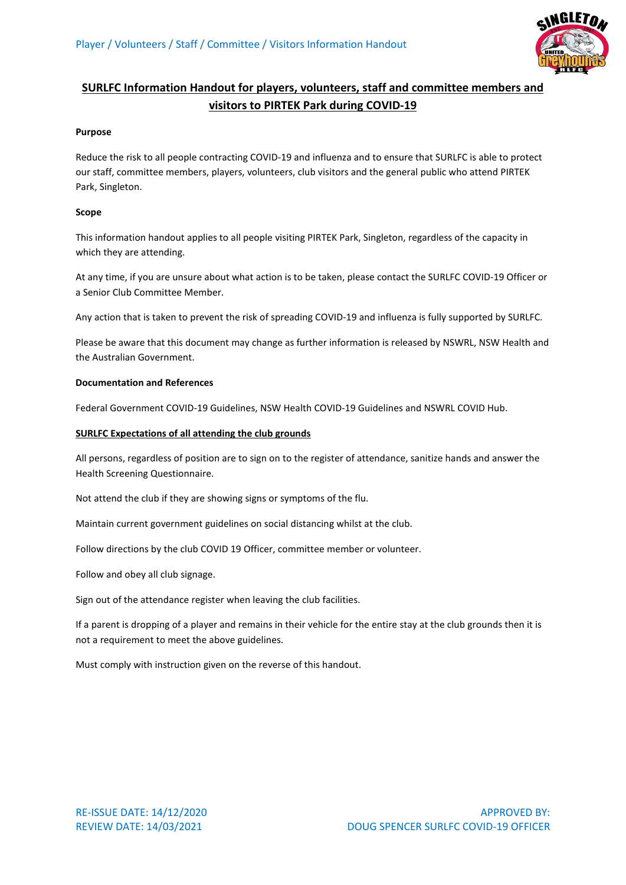

# **SURLFC Information Handout for players, volunteers, staff and committee members and visitors to PIRTEK Park during COVID-19**

## **Purpose**

Reduce the risk to all people contracting COVID-19 and influenza and to ensure that SURLFC is able to protect our staff, committee members, players, volunteers, club visitors and the general public who attend PIRTEK Park, Singleton.

## **Scope**

This information handout applies to all people visiting PIRTEK Park, Singleton, regardless of the capacity in which they are attending.

At any time, if you are unsure about what action is to be taken, please contact the SURLFC COVID-19 Officer or a Senior Club Committee Member.

Any action that is taken to prevent the risk of spreading COVID-19 and influenza is fully supported by SURLFC.

Please be aware that this document may change as further information is released by NSWRL, NSW Health and the Australian Government.

## **Documentation and References**

Federal Government COVID-19 Guidelines, NSW Health COVID-19 Guidelines and NSWRL COVID Hub.

## **SURLFC Expectations of all attending the club grounds**

All persons, regardless of position are to sign on to the register of attendance, sanitize hands and answer the Health Screening Questionnaire.

Not attend the club if they are showing signs or symptoms of the flu.

Maintain current government guidelines on social distancing whilst at the club.

Follow directions by the club COVID 19 Officer, committee member or volunteer.

Follow and obey all club signage.

Sign out of the attendance register when leaving the club facilities.

If a parent is dropping of a player and remains in their vehicle for the entire stay at the club grounds then it is not a requirement to meet the above guidelines.

Must comply with instruction given on the reverse of this handout.